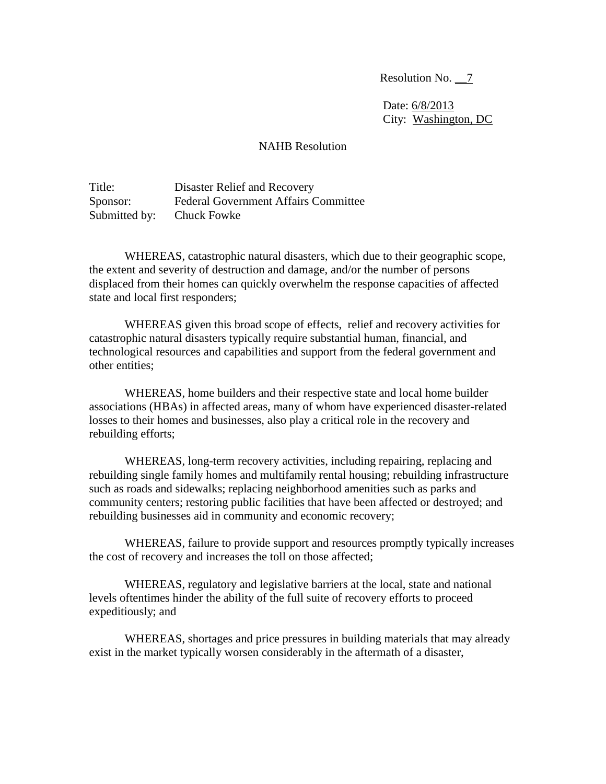Resolution No. \_\_7

 Date: 6/8/2013 City: Washington, DC

## NAHB Resolution

Title: Disaster Relief and Recovery Sponsor: Federal Government Affairs Committee Submitted by: Chuck Fowke

WHEREAS, catastrophic natural disasters, which due to their geographic scope, the extent and severity of destruction and damage, and/or the number of persons displaced from their homes can quickly overwhelm the response capacities of affected state and local first responders;

WHEREAS given this broad scope of effects, relief and recovery activities for catastrophic natural disasters typically require substantial human, financial, and technological resources and capabilities and support from the federal government and other entities;

WHEREAS, home builders and their respective state and local home builder associations (HBAs) in affected areas, many of whom have experienced disaster-related losses to their homes and businesses, also play a critical role in the recovery and rebuilding efforts;

WHEREAS, long-term recovery activities, including repairing, replacing and rebuilding single family homes and multifamily rental housing; rebuilding infrastructure such as roads and sidewalks; replacing neighborhood amenities such as parks and community centers; restoring public facilities that have been affected or destroyed; and rebuilding businesses aid in community and economic recovery;

WHEREAS, failure to provide support and resources promptly typically increases the cost of recovery and increases the toll on those affected;

WHEREAS, regulatory and legislative barriers at the local, state and national levels oftentimes hinder the ability of the full suite of recovery efforts to proceed expeditiously; and

WHEREAS, shortages and price pressures in building materials that may already exist in the market typically worsen considerably in the aftermath of a disaster,